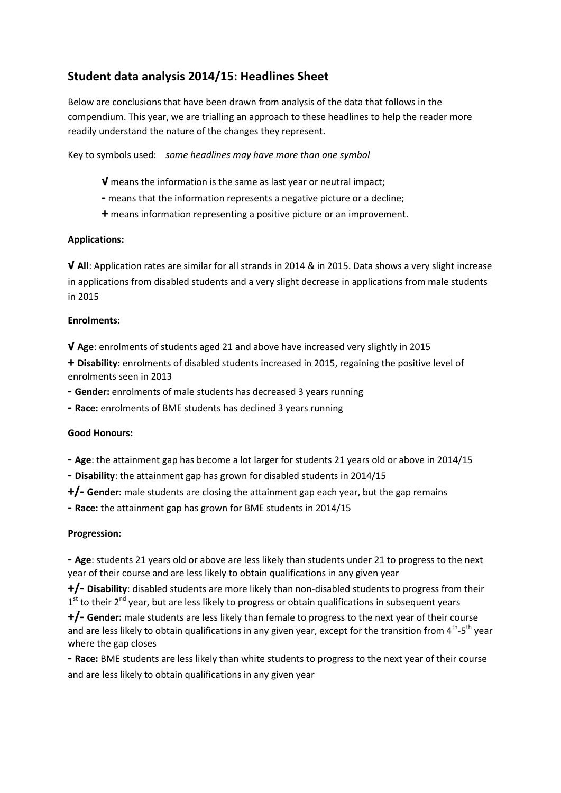## **Student data analysis 2014/15: Headlines Sheet**

Below are conclusions that have been drawn from analysis of the data that follows in the compendium. This year, we are trialling an approach to these headlines to help the reader more readily understand the nature of the changes they represent.

Key to symbols used: *some headlines may have more than one symbol*

- **√** means the information is the same as last year or neutral impact;
- **-** means that the information represents a negative picture or a decline;
- **+** means information representing a positive picture or an improvement.

#### **Applications:**

**√ All**: Application rates are similar for all strands in 2014 & in 2015. Data shows a very slight increase in applications from disabled students and a very slight decrease in applications from male students in 2015

#### **Enrolments:**

**√ Age**: enrolments of students aged 21 and above have increased very slightly in 2015

**+ Disability**: enrolments of disabled students increased in 2015, regaining the positive level of enrolments seen in 2013

**- Gender:** enrolments of male students has decreased 3 years running

**- Race:** enrolments of BME students has declined 3 years running

#### **Good Honours:**

**- Age**: the attainment gap has become a lot larger for students 21 years old or above in 2014/15

**- Disability**: the attainment gap has grown for disabled students in 2014/15

**+/- Gender:** male students are closing the attainment gap each year, but the gap remains

**- Race:** the attainment gap has grown for BME students in 2014/15

#### **Progression:**

**- Age**: students 21 years old or above are less likely than students under 21 to progress to the next year of their course and are less likely to obtain qualifications in any given year

**+/- Disability**: disabled students are more likely than non-disabled students to progress from their 1<sup>st</sup> to their 2<sup>nd</sup> year, but are less likely to progress or obtain qualifications in subsequent years

**+/- Gender:** male students are less likely than female to progress to the next year of their course and are less likely to obtain qualifications in any given year, except for the transition from  $4^{\text{th}}$ -5<sup>th</sup> year where the gap closes

**- Race:** BME students are less likely than white students to progress to the next year of their course and are less likely to obtain qualifications in any given year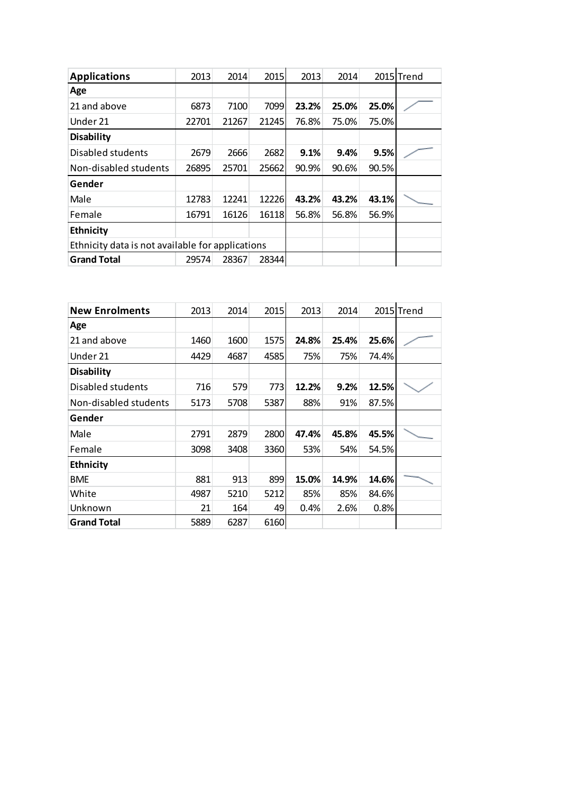| <b>Applications</b>                              | 2013  | 2014  | 2015  | 2013  | 2014  |       | 2015 Trend |
|--------------------------------------------------|-------|-------|-------|-------|-------|-------|------------|
| Age                                              |       |       |       |       |       |       |            |
| 21 and above                                     | 6873  | 7100  | 7099  | 23.2% | 25.0% | 25.0% |            |
| Under 21                                         | 22701 | 21267 | 21245 | 76.8% | 75.0% | 75.0% |            |
| <b>Disability</b>                                |       |       |       |       |       |       |            |
| Disabled students                                | 2679  | 2666  | 2682  | 9.1%  | 9.4%  | 9.5%  |            |
| Non-disabled students                            | 26895 | 25701 | 25662 | 90.9% | 90.6% | 90.5% |            |
| Gender                                           |       |       |       |       |       |       |            |
| Male                                             | 12783 | 12241 | 12226 | 43.2% | 43.2% | 43.1% |            |
| Female                                           | 16791 | 16126 | 16118 | 56.8% | 56.8% | 56.9% |            |
| <b>Ethnicity</b>                                 |       |       |       |       |       |       |            |
| Ethnicity data is not available for applications |       |       |       |       |       |       |            |
| <b>Grand Total</b>                               | 29574 | 28367 | 28344 |       |       |       |            |

| <b>New Enrolments</b> | 2013 | 2014 | 2015 | 2013  | 2014  |       | 2015 Trend |
|-----------------------|------|------|------|-------|-------|-------|------------|
| Age                   |      |      |      |       |       |       |            |
| 21 and above          | 1460 | 1600 | 1575 | 24.8% | 25.4% | 25.6% |            |
| Under 21              | 4429 | 4687 | 4585 | 75%   | 75%   | 74.4% |            |
| <b>Disability</b>     |      |      |      |       |       |       |            |
| Disabled students     | 716  | 579  | 773  | 12.2% | 9.2%  | 12.5% |            |
| Non-disabled students | 5173 | 5708 | 5387 | 88%   | 91%   | 87.5% |            |
| Gender                |      |      |      |       |       |       |            |
| Male                  | 2791 | 2879 | 2800 | 47.4% | 45.8% | 45.5% |            |
| Female                | 3098 | 3408 | 3360 | 53%   | 54%   | 54.5% |            |
| <b>Ethnicity</b>      |      |      |      |       |       |       |            |
| <b>BME</b>            | 881  | 913  | 899  | 15.0% | 14.9% | 14.6% |            |
| White                 | 4987 | 5210 | 5212 | 85%   | 85%   | 84.6% |            |
| Unknown               | 21   | 164  | 49   | 0.4%  | 2.6%  | 0.8%  |            |
| <b>Grand Total</b>    | 5889 | 6287 | 6160 |       |       |       |            |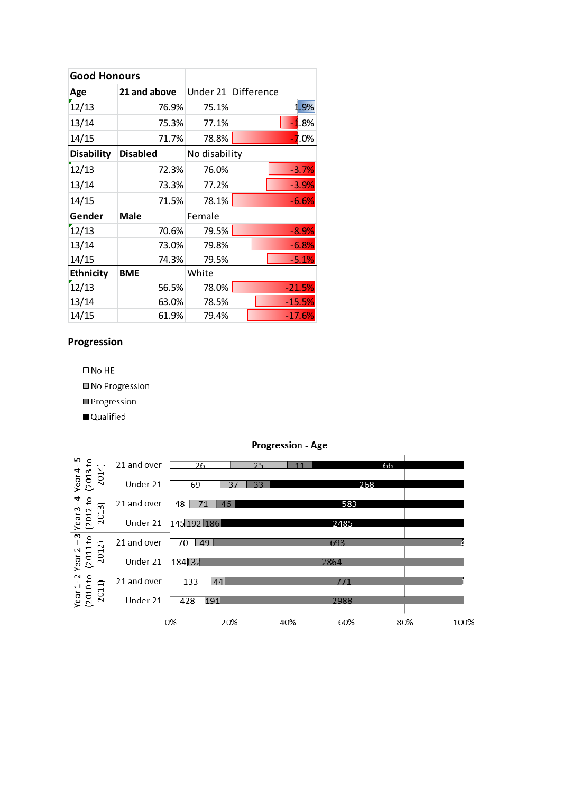| <b>Good Honours</b> |                 |               |                     |
|---------------------|-----------------|---------------|---------------------|
| Age                 | 21 and above    |               | Under 21 Difference |
| 12/13               | 76.9%           | 75.1%         | 1.9%                |
| 13/14               | 75.3%           | 77.1%         | $-1.8%$             |
| 14/15               | 71.7%           | 78.8%         | $-7.0\%$            |
| <b>Disability</b>   | <b>Disabled</b> | No disability |                     |
| 12/13               | 72.3%           | 76.0%         | $-3.7%$             |
| 13/14               | 73.3%           | 77.2%         | $-3.9%$             |
| 14/15               | 71.5%           | 78.1%         | $-6.6%$             |
| Gender              | Male            | Female        |                     |
| 12/13               | 70.6%           | 79.5%         | $-8.9%$             |
| 13/14               | 73.0%           | 79.8%         | $-6.8%$             |
| 14/15               | 74.3%           | 79.5%         | $-5.1%$             |
| <b>Ethnicity</b>    | <b>BME</b>      | White         |                     |
| 12/13               | 56.5%           | 78.0%         | $-21.5%$            |
| 13/14               | 63.0%           | 78.5%         | $-15.5%$            |
| 14/15               | 61.9%           | 79.4%         | $-17.6%$            |

# Progression

 $\square$  No HE

No Progression

 $\blacksquare$  Progression

Qualified

| ທ<br>으                                  | 21 and over | 26             | 25       | 11   | 66  |             |
|-----------------------------------------|-------------|----------------|----------|------|-----|-------------|
| 2014)<br>(2013)<br>Year                 | Under 21    | 69             | 33<br>37 |      | 268 |             |
| $\overline{a}$<br>요<br>S                | 21 and over | 48<br>46<br>71 |          |      | 583 |             |
| 2013<br>(2012)<br>Year                  | Under 21    | 145 192 186    |          | 2485 |     |             |
| $\overline{3}$<br>₽<br>$\sim$           | 21 and over | 49<br>70       |          | 693  |     |             |
| 2012<br>(2011)<br>Year                  | Under 21    | 184132         |          | 2864 |     |             |
| $\sim$<br>ទ<br>$\overline{\phantom{0}}$ | 21 and over | 133<br> 44     |          | 771  |     |             |
| 2011)<br>(2010)<br>Year                 | Under 21    | 191<br>428     |          | 2988 |     |             |
|                                         |             | 0%             | 20%      | 40%  | 60% | 100%<br>80% |

### Progression - Age